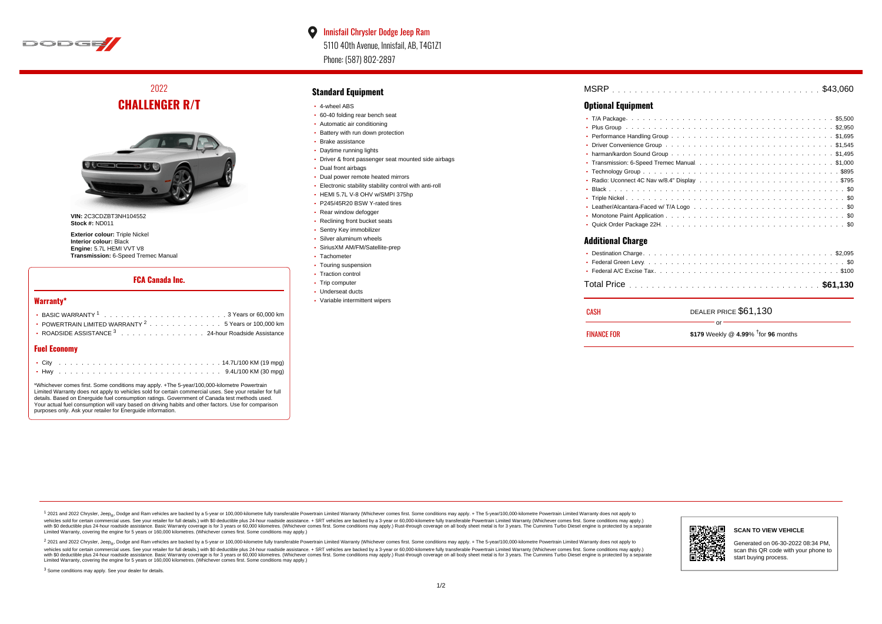

# 2022 **CHALLENGER R/T**



**VIN:** 2C3CDZBT3NH104552 **Stock #:** ND011

**Exterior colour:** Triple Nickel **Interior colour:** Black **Engine:** 5.7L HEMI VVT V8 **Transmission:** 6-Speed Tremec Manual

### **FCA Canada Inc.**

#### **Warranty\***

| • POWERTRAIN LIMITED WARRANTY $2, \ldots, \ldots, \ldots, 5$ Years or 100,000 km         |
|------------------------------------------------------------------------------------------|
| • ROADSIDE ASSISTANCE $^3$ , , , , , , , , , , , , , , , , , 24-hour Roadside Assistance |

### **Fuel Economy**

\*Whichever comes first. Some conditions may apply. +The 5-year/100,000-kilometre Powertrain Limited Warranty does not apply to vehicles sold for certain commercial uses. See your retailer for full details. Based on Energuide fuel consumption ratings. Government of Canada test methods used. Your actual fuel consumption will vary based on driving habits and other factors. Use for comparison purposes only. Ask your retailer for Energuide information.

### **Standard Equipment**

- 4-wheel ABS
- 60-40 folding rear bench seat
- Automatic air conditioning
- Battery with run down protection
- Brake assistance
- Daytime running lights
- Driver & front passenger seat mounted side airbags
- Dual front airbags
- Dual power remote heated mirrors
- Electronic stability stability control with anti-roll
- HEML5.7L V-8 OHV w/SMPL375hp
- P245/45R20 BSW Y-rated tires
- Rear window defogger
- Reclining front bucket seats
- Sentry Key immobilizer
- Silver aluminum wheels
- SiriusXM AM/FM/Satellite-prep
- Tachometer
- Touring suspension • Traction control
- Trip computer
- Underseat ducts
- Variable intermittent wipers

| MSRP |  |  |  |  |  |  |  |  |  |  |  |  |  |  |  |  |  |  |  |  |  |  |
|------|--|--|--|--|--|--|--|--|--|--|--|--|--|--|--|--|--|--|--|--|--|--|
|      |  |  |  |  |  |  |  |  |  |  |  |  |  |  |  |  |  |  |  |  |  |  |

## **Optional Equipment**

| ٠                        |  |  |  |  |  |  |  |  |  |  |  |  |
|--------------------------|--|--|--|--|--|--|--|--|--|--|--|--|
|                          |  |  |  |  |  |  |  |  |  |  |  |  |
|                          |  |  |  |  |  |  |  |  |  |  |  |  |
|                          |  |  |  |  |  |  |  |  |  |  |  |  |
| ٠                        |  |  |  |  |  |  |  |  |  |  |  |  |
|                          |  |  |  |  |  |  |  |  |  |  |  |  |
|                          |  |  |  |  |  |  |  |  |  |  |  |  |
|                          |  |  |  |  |  |  |  |  |  |  |  |  |
|                          |  |  |  |  |  |  |  |  |  |  |  |  |
|                          |  |  |  |  |  |  |  |  |  |  |  |  |
|                          |  |  |  |  |  |  |  |  |  |  |  |  |
| <b>Additional Charge</b> |  |  |  |  |  |  |  |  |  |  |  |  |
|                          |  |  |  |  |  |  |  |  |  |  |  |  |
|                          |  |  |  |  |  |  |  |  |  |  |  |  |
|                          |  |  |  |  |  |  |  |  |  |  |  |  |
|                          |  |  |  |  |  |  |  |  |  |  |  |  |

| CASH               | DEALER PRICE \$61,130                              |
|--------------------|----------------------------------------------------|
| <b>FINANCE FOR</b> | Ωr<br>\$179 Weekly @ 4.99% $\dagger$ for 96 months |

1 2021 and 2022 Chrysler, Jeep<sub>en</sub> Dodge and Ram vehicles are backed by a 5-year or 100,000-kilometre fully transferable Powertrain Limited Warranty (Whichever comes first. Some conditions may apply. + The 5-year/100,000-k vehicles sold for certain commercial uses. See your retailer for full details.) with \$0 deductible plus 24-hour roadside assistance. + SRT vehicles are backed by a 3-year or 60,000-kilometre fully transferable Powertrain L versus and contract the mean of the contract of the contract with a contract with a contract the contract of the search of the contract and a control of the contract and contract and control of the search of the search of Limited Warranty, covering the engine for 5 years or 160,000 kilometres. (Whichever comes first. Some conditions may apply.)

<sup>2</sup> 2021 and 2022 Chrysler, Jeep<sub>®</sub>, Dodge and Ram vehicles are backed by a 5-year or 100,000-kilometre fully transferable Powertrain Limited Warranty (Whichever comes first. Some conditions may apply. + The 5-year/100,000 vehicles sold for certain commercial uses. See your retailer for full details.) with SO deductible plus 24-hour roadside assistance. + SRT vehicles are backed by a 3-year or 60.000-kilometre fully transferable Powertrain. with S0 deductible plus 24-hour roadside assistance. Basic Warranty coverage is for 3 years or 60,000 kilometres. (Whichever comes first. Some conditions may apply.) Rust-through coverage on all body sheet metal is for 3 y



#### **SCAN TO VIEW VEHICLE**

Generated on 06-30-2022 08:34 PM, scan this QR code with your phone to start buying process.

<sup>3</sup> Some conditions may apply. See your dealer for details.